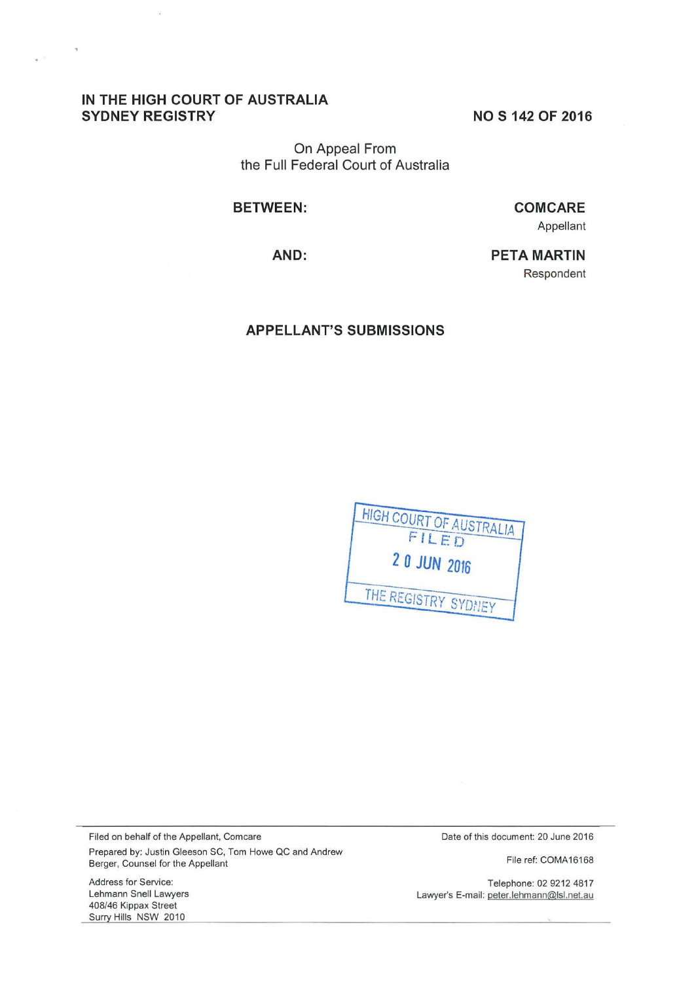## **IN THE HIGH COURT OF AUSTRALIA SYDNEY REGISTRY** NOS 142 OF 2016

 $\overline{\mathbf{z}}$ 

On Appeal From the Full Federal Court of Australia

**BETWEEN:** 

**CO M CARE**  Appellant

**AND:** 

**PETA MARTIN**  Respondent

#### **APPELLANT'S SUBMISSIONS**



Filed on behalf of the Appellant, Comcare Prepared by: Justin Gleeson SC, Tom Howe QC and Andrew Berger, Counsel for the Appellant

Date of this document: 20 June 2016

File ref: COMA16168

Telephone: 02 9212 4817 Lawyer's E-mail: peter.lehmann@lsl.net.au

Address for Service: Lehmann Snell Lawyers 408/46 Kippax Street Surry Hills NSW 2010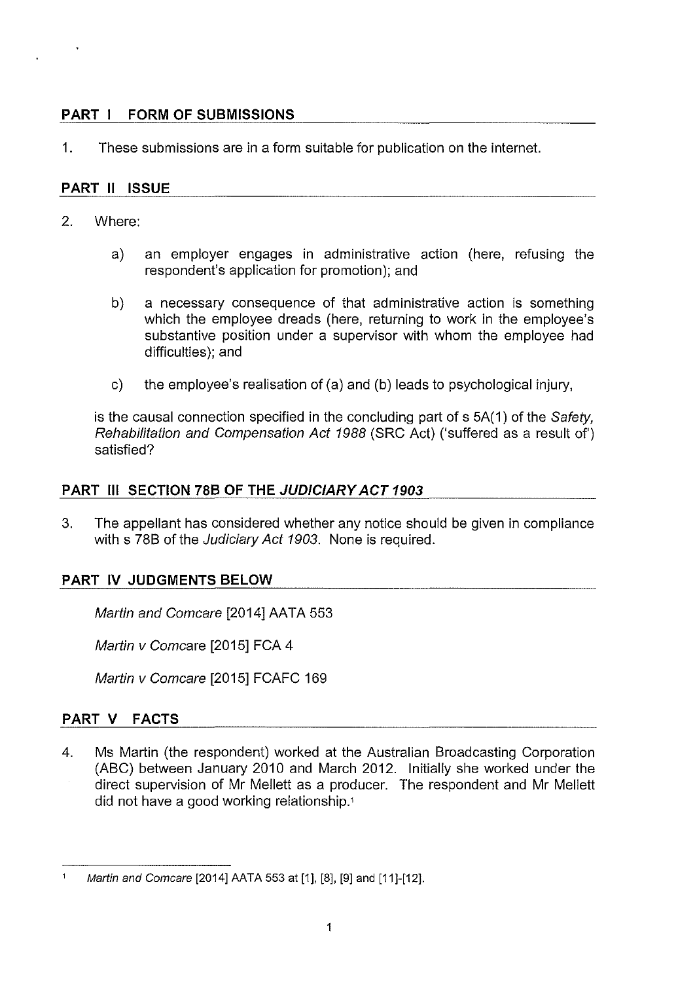# **PART I FORM OF SUBMISSIONS**

1. These submissions are in a form suitable for publication on the internet.

# **PART 11 ISSUE**

- 2. Where:
	- a) an employer engages in administrative action (here, refusing the respondent's application for promotion); and
	- b) a necessary consequence of that administrative action is something which the employee dreads (here, returning to work in the employee's substantive position under a supervisor with whom the employee had difficulties); and
	- c) the employee's realisation of (a) and (b) leads to psychological injury,

is the causal connection specified in the concluding part of s 5A(1) of the Safety, Rehabilitation and Compensation Act 1988 (SRC Act) ('suffered as a result of') satisfied?

# **PART Ill SECTION 78B OF THE JUDICIARY ACT 1903**

3. The appellant has considered whether any notice should be given in compliance with s 78B of the Judiciary Act 1903. None is required.

# **PART IV JUDGMENTS BELOW**

Martin and Comcare [2014] AATA 553

Martin v Comcare [2015] FCA 4

Martin v Comcare [2015] FCAFC 169

# **PART V FACTS**

4. Ms Martin (the respondent) worked at the Australian Broadcasting Corporation (ABC) between January 2010 and March 2012. Initially she worked under the direct supervision of Mr Mellett as a producer. The respondent and Mr Mellett did not have a good working relationship.'

 $\mathbf{1}$ Martin and Comcare [2014] AATA 553 at [1], [8], [9] and [11]-[12].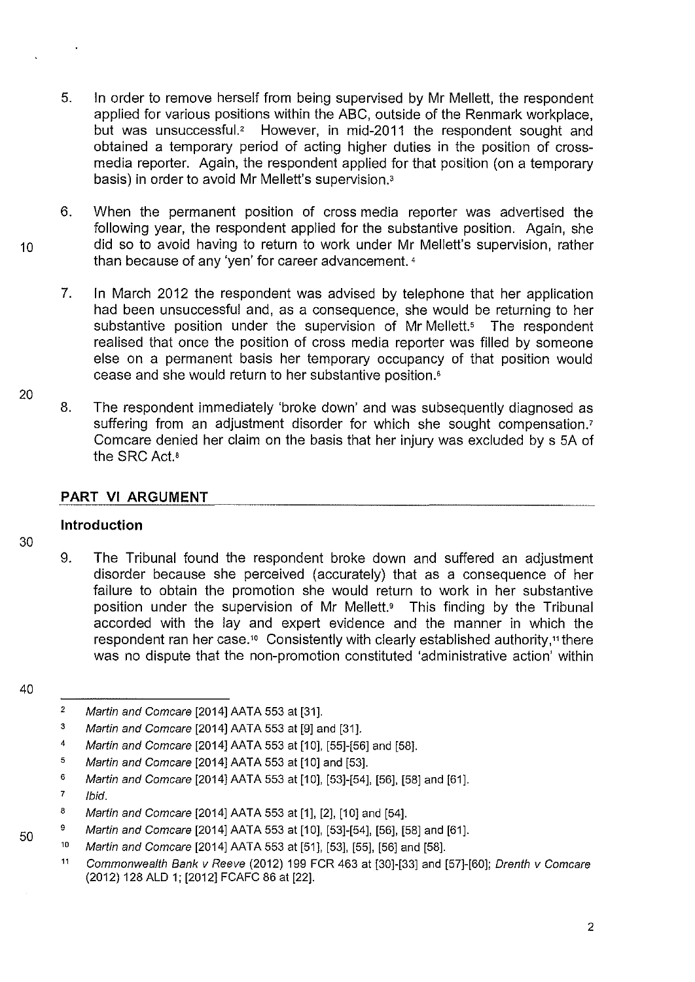- 5. In order to remove herself from being supervised by Mr Mellett, the respondent applied for various positions within the ABC, outside of the Renmark workplace, but was unsuccessful.' However, in mid-2011 the respondent sought and obtained a temporary period of acting higher duties in the position of crossmedia reporter. Again, the respondent applied for that position (on a temporary basis) in order to avoid Mr Mellett's supervision.<sup>3</sup>
- 6. When the permanent position of cross media reporter was advertised the following year, the respondent applied for the substantive position. Again, she <sup>1</sup>o did so to avoid having to return to work under Mr Mellett's supervision, rather than because of any 'yen' for career advancement. <sup>4</sup>
	- 7. In March 2012 the respondent was advised by telephone that her application had been unsuccessful and, as a consequence, she would be returning to her substantive position under the supervision of Mr Mellett.<sup>5</sup> The respondent realised that once the position of cross media reporter was filled by someone else on a permanent basis her temporary occupancy of that position would cease and she would return to her substantive position.•
	- 8. The respondent immediately 'broke down' and was subsequently diagnosed as suffering from an adjustment disorder for which she sought compensation.<sup>7</sup> Comcare denied her claim on the basis that her injury was excluded by s 5A of the SRC Act.•

# **PART VI ARGUMENT**

## **Introduction**

30

20

9. The Tribunal found the respondent broke down and suffered an adjustment disorder because she perceived (accurately) that as a consequence of her failure to obtain the promotion she would return to work in her substantive position under the supervision of Mr Mellett.<sup>9</sup> This finding by the Tribunal accorded with the lay and expert evidence and the manner in which the respondent ran her case." Consistently with clearly established authority,'' there was no dispute that the non-promotion constituted 'administrative action' within

- 3 Martin and Comcare [2014] AATA 553 at [9] and [31].
- 4 Martin and Comcare [2014] AATA 553 at [10], [55]-[56] and [58].
- 5 Martin and Comcare [2014] AATA 553 at [10] and [53].
- 6 Martin and Comcare [2014] AATA 553 at [10], [53]-[54], [56], [58] and [61].
- 7 Ibid.
- 8 Martin and Comcare [2014] AATA 553 at [1], [2], [10] and [54].
- 9 Martin and Comcare [2014] AATA 553 at [10], [53]-[54], [56], [58] and [61].
- 10 Martin and Comcare [2014] AATA 553 at [51], [53], [55], [56] and [58].
	- 11 Commonwealth Bank v Reeve (2012) 199 FCR 463 at [30]-[33] and [57]-[60]; Drenth v Comcare (2012) 128 ALD 1; [2012] FCAFC 86 at [22].

50

<sup>40</sup> 

<sup>2</sup>  Martin and Comcare [2014] AATA 553 at [31].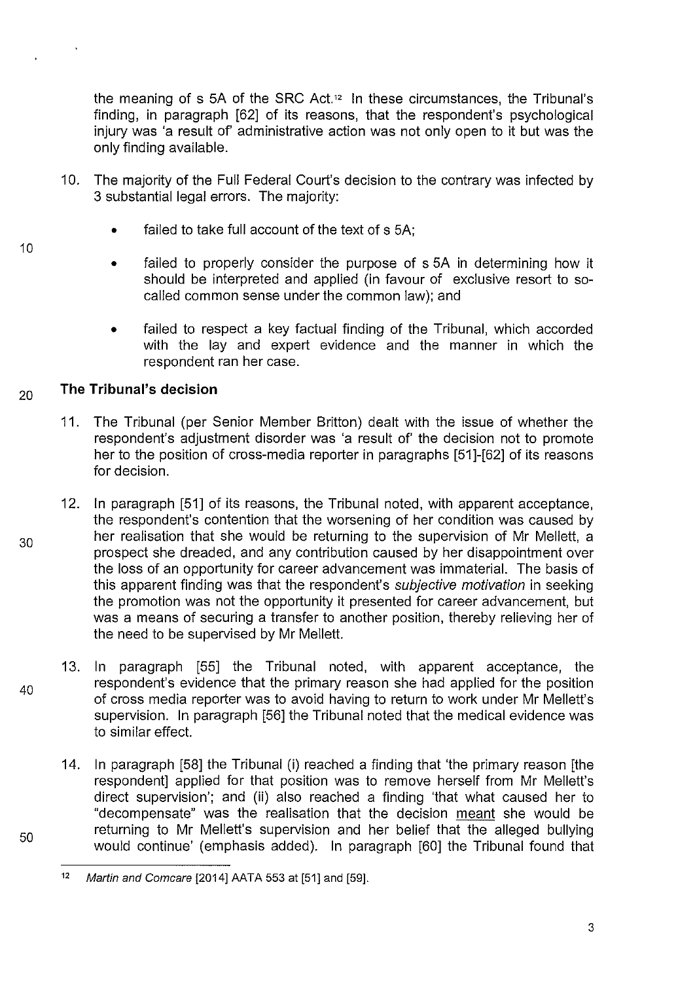the meaning of s 5A of the SRC Act.<sup>12</sup> In these circumstances, the Tribunal's finding, in paragraph [62] of its reasons, that the respondent's psychological injury was 'a result of' administrative action was not only open to it but was the only finding available.

- 10. The majority of the Full Federal Court's decision to the contrary was infected by 3 substantial legal errors. The majority:
	- failed to take full account of the text of s 5A:
	- failed to properly consider the purpose of s 5A in determining how it should be interpreted and applied (in favour of exclusive resort to socalled common sense under the common law); and
	- failed to respect a key factual finding of the Tribunal, which accorded with the lay and expert evidence and the manner in which the respondent ran her case.

#### 20 **The Tribunal's decision**

- 11. The Tribunal (per Senior Member Britton) dealt with the issue of whether the respondent's adjustment disorder was 'a result of' the decision not to promote her to the position of cross-media reporter in paragraphs [51]-[62] of its reasons for decision.
- 12. In paragraph [51] of its reasons, the Tribunal noted, with apparent acceptance, the respondent's contention that the worsening of her condition was caused by her realisation that she would be returning to the supervision of Mr Mellett, a prospect she dreaded, and any contribution caused by her disappointment over the loss of an opportunity for career advancement was immaterial. The basis of this apparent finding was that the respondent's subjective motivation in seeking the promotion was not the opportunity it presented for career advancement, but was a means of securing a transfer to another position, thereby relieving her of the need to be supervised by Mr Mellett.
- 40 13. In paragraph [55] the Tribunal noted, with apparent acceptance, the respondent's evidence that the primary reason she had applied for the position of cross media reporter was to avoid having to return to work under Mr Mellett's supervision. In paragraph [56] the Tribunal noted that the medical evidence was to similar effect.
	- 14. In paragraph [58] the Tribunal (i) reached a finding that 'the primary reason [the respondent] applied for that position was to remove herself from Mr Mellett's direct supervision'; and (ii) also reached a finding 'that what caused her to "decompensate" was the realisation that the decision meant she would be returning to Mr Mellett's supervision and her belief that the alleged bullying would continue' (emphasis added). In paragraph [60] the Tribunal found that

30

50

<sup>12</sup> Martin and Comcare  $[2014]$  AATA 553 at  $[51]$  and  $[59]$ .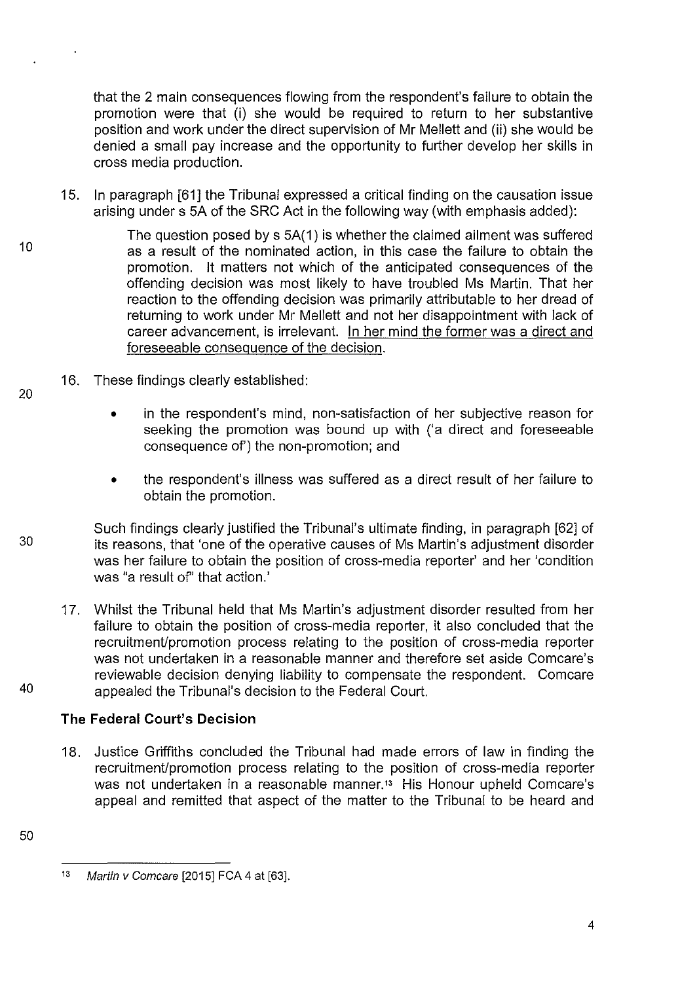that the 2 main consequences flowing from the respondent's failure to obtain the promotion were that (i) she would be required to return to her substantive position and work under the direct supervision of Mr Mellett and (ii) she would be denied a small pay increase and the opportunity to further develop her skills in cross media production.

- 1S. In paragraph [61] the Tribunal expressed a critical finding on the causation issue arising under s SA of the SRC Act in the following way (with emphasis added):
- 10 The question posed by s SA( 1) is whether the claimed ailment was suffered as a result of the nominated action, in this case the failure to obtain the promotion. lt matters not which of the anticipated consequences of the offending decision was most likely to have troubled Ms Martin. That her reaction to the offending decision was primarily attributable to her dread of returning to work under Mr Mellett and not her disappointment with lack of career advancement, is irrelevant. In her mind the former was a direct and foreseeable consequence of the decision.
	- 16. These findings clearly established:
		- in the respondent's mind, non-satisfaction of her subjective reason for seeking the promotion was bound up with ('a direct and foreseeable consequence of') the non-promotion; and
		- the respondent's illness was suffered as a direct result of her failure to obtain the promotion.
- Such findings clearly justified the Tribunal's ultimate finding, in paragraph [62] of 30 its reasons, that 'one of the operative causes of Ms Martin's adjustment disorder was her failure to obtain the position of cross-media reporter' and her 'condition was "a result of'' that action.'
- 17. Whilst the Tribunal held that Ms Martin's adjustment disorder resulted from her failure to obtain the position of cross-media reporter, it also concluded that the recruitment/promotion process relating to the position of cross-media reporter was not undertaken in a reasonable manner and therefore set aside Comcare's reviewable decision denying liability to compensate the respondent. Comcare 40 appealed the Tribunal's decision to the Federal Court.

# **The Federal Court's Decision**

18. Justice Griffiths concluded the Tribunal had made errors of law in finding the recruitment/promotion process relating to the position of cross-media reporter was not undertaken in a reasonable manner.<sup>13</sup> His Honour upheld Comcare's appeal and remitted that aspect of the matter to the Tribunal to be heard and

<sup>50</sup> 

<sup>13</sup> Martin v Comcare [2015] FCA 4 at [63].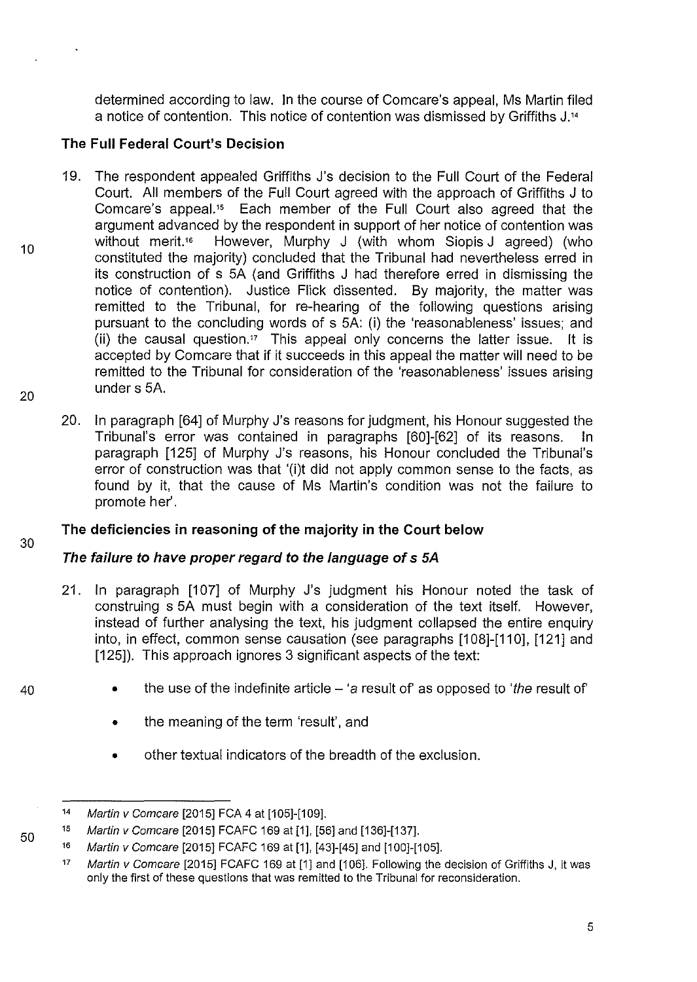determined according to law. In the course of Comcare's appeal, Ms Martin filed a notice of contention. This notice of contention was dismissed by Griffiths J. <sup>14</sup>

# **The Full Federal Court's Decision**

- 19. The respondent appealed Griffiths J's decision to the Full Court of the Federal Court. All members of the Full Court agreed with the approach of Griffiths J to Comcare's appeal." Each member of the Full Court also agreed that the argument advanced by the respondent in support of her notice of contention was without merit.<sup>16</sup> However, Murphy J (with whom Siopis J agreed) (who constituted the majority) concluded that the Tribunal had nevertheless erred in its construction of s 5A (and Griffiths J had therefore erred in dismissing the notice of contention). Justice Flick dissented. By majority, the matter was remitted to the Tribunal, for re-hearing of the following questions arising pursuant to the concluding words of s 5A: (i) the 'reasonableness' issues; and (ii) the causal question." This appeal only concerns the latter issue. lt is accepted by Comcare that if it succeeds in this appeal the matter will need to be remitted to the Tribunal for consideration of the 'reasonableness' issues arising under s 5A.
- 20. In paragraph [64] of Murphy J's reasons for judgment, his Honour suggested the Tribunal's error was contained in paragraphs [60]-[62] of its reasons. In paragraph [125] of Murphy J's reasons, his Honour concluded the Tribunal's error of construction was that '(i)t did not apply common sense to the facts, as found by it, that the cause of Ms Martin's condition was not the failure to promote her'.

# **The deficiencies in reasoning of the majority in the Court below**

# **The failure to have proper regard to the language of s SA**

- 21. In paragraph [107] of Murphy J's judgment his Honour noted the task of construing s 5A must begin with a consideration of the text itself. However, instead of further analysing the text, his judgment collapsed the entire enquiry into, in effect, common sense causation (see paragraphs [108]-[110], [121] and [125]). This approach ignores 3 significant aspects of the text:
	- the use of the indefinite article  $-$  'a result of' as opposed to 'the result of'
		- the meaning of the term 'result', and
	- other textual indicators of the breadth of the exclusion.

30

40

50

<sup>14</sup>  Martin v Comcare [2015] FCA 4 at [105]-[109].

<sup>15</sup>  Martin v Comcare [2015] FCAFC 169 at [1], [56] and [136]-[137].

<sup>16</sup>  Martin v Comcare [2015] FCAFC 169 at [1], [43]-[45] and [100]-[105].

<sup>17</sup>  Martin v Comcare [2015] FCAFC 169 at [1] and [106]. Following the decision of Griffiths J, it was only the first of these questions that was remitted to the Tribunal for reconsideration.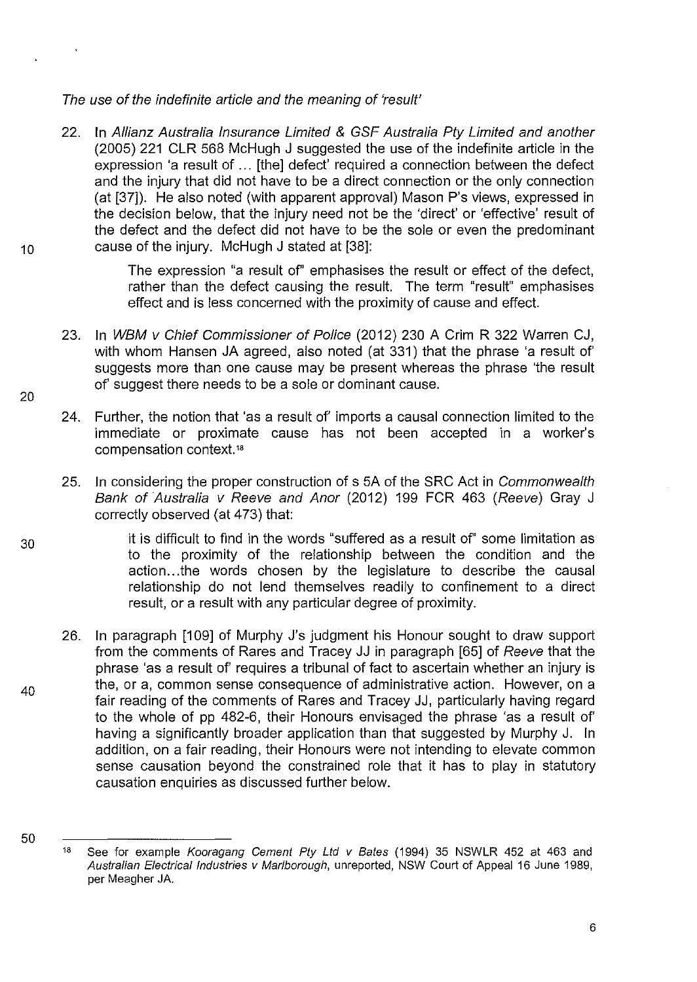### The use of the indefinite article and the meaning of 'result'

22. In Allianz Australia Insurance Limited & GSF Australia Pty Limited and another (2005) 221 CLR 568 McHugh J suggested the use of the indefinite article in the expression 'a result of ... [the] defect' required a connection between the defect and the injury that did not have to be a direct connection or the only connection (at [37]). He also noted (with apparent approval) Mason P's views, expressed in the decision below, that the injury need not be the 'direct' or 'effective' result of the defect and the defect did not have to be the sole or even the predominant 10 cause of the injury. McHugh J stated at [38]:

> The expression "a result of' emphasises the result or effect of the defect, rather than the defect causing the result. The term "result" emphasises effect and is less concerned with the proximity of cause and effect.

- 23. In WBM v Chief Commissioner of Police (2012) 230 A Crim R 322 Warren CJ, with whom Hansen JA agreed, also noted (at 331) that the phrase 'a result of' suggests more than one cause may be present whereas the phrase 'the result of' suggest there needs to be a sole or dominant cause.
- 24. Further, the notion that 'as a result of' imports a causal connection limited to the immediate or proximate cause has not been accepted in a worker's compensation context."
- 25. In considering the proper construction of s 5A of the SRC Act in Commonwealth Bank of Australia v Reeve and Anor (2012) 199 FCR 463 (Reeve) Gray J correctly observed (at 473) that:

it is difficult to find in the words "suffered as a result of' some limitation as to the proximity of the relationship between the condition and the action... the words chosen by the legislature to describe the causal relationship do not lend themselves readily to confinement to a direct result, or a result with any particular degree of proximity.

26. In paragraph [109] of Murphy J's judgment his Honour sought to draw support from the comments of Rares and Tracey JJ in paragraph [65] of Reeve that the phrase 'as a result of' requires a tribunal of fact to ascertain whether an injury is the, or a, common sense consequence of administrative action. However, on a fair reading of the comments of Rares and Tracey JJ, particularly having regard to the whole of pp 482-6, their Honours envisaged the phrase 'as a result of' having a significantly broader application than that suggested by Murphy J. In addition, on a fair reading, their Honours were not intending to elevate common sense causation beyond the constrained role that it has to play in statutory causation enquiries as discussed further below.

30

40

50

20

<sup>&</sup>lt;sup>18</sup> See for example Kooragang Cement Pty Ltd v Bates (1994) 35 NSWLR 452 at 463 and Australian Electrical Industries v Marlborough, unreported, NSW Court of Appeal 16 June 1989, per Meagher JA.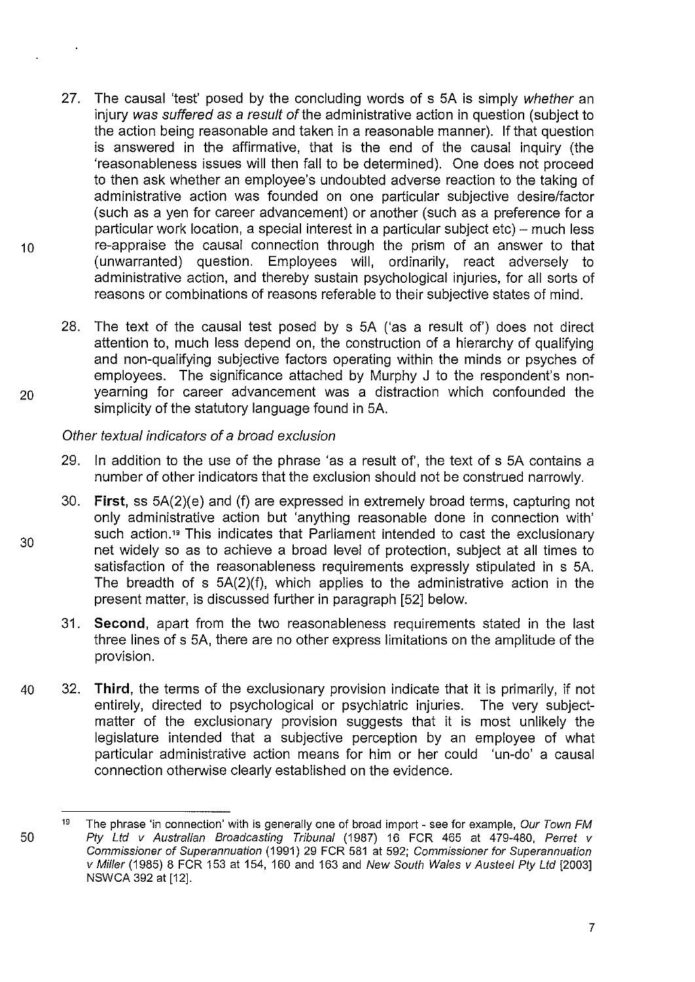- 27. The causal 'test' posed by the concluding words of s 5A is simply whether an injury was suffered as a result of the administrative action in question (subject to the action being reasonable and taken in a reasonable manner). If that question is answered in the affirmative, that is the end of the causal inquiry (the 'reasonableness issues will then fall to be determined). One does not proceed to then ask whether an employee's undoubted adverse reaction to the taking of administrative action was founded on one particular subjective desire/factor (such as a yen for career advancement) or another (such as a preference for a particular work location, a special interest in a particular subject etc)- much less 10 **re-appraise the causal connection through the prism of an answer to that** (unwarranted) question. Employees will, ordinarily, react adversely to administrative action, and thereby sustain psychological injuries, for all sorts of reasons or combinations of reasons referable to their subjective states of mind.
- 28. The text of the causal test posed by s SA ('as a result of') does not direct attention to, much less depend on, the construction of a hierarchy of qualifying and non-qualifying subjective factors operating within the minds or psyches of employees. The significance attached by Murphy J to the respondent's non-20 yearning for career advancement was a distraction which confounded the simplicity of the statutory language found in SA.

Other textual indicators of a broad exclusion

30

 $\ddot{\phantom{a}}$ 

- 29. In addition to the use of the phrase 'as a result of', the text of s SA contains a number of other indicators that the exclusion should not be construed narrowly.
- 30. **First,** ss 5A(2)(e) and (f) are expressed in extremely broad terms, capturing not only administrative action but 'anything reasonable done in connection with' such action.<sup>19</sup> This indicates that Parliament intended to cast the exclusionary net widely so as to achieve a broad level of protection, subject at all times to satisfaction of the reasonableness requirements expressly stipulated in s SA. The breadth of s 5A(2)(f), which applies to the administrative action in the present matter, is discussed further in paragraph [52] below.
- 31. **Second,** apart from the two reasonableness requirements stated in the last three lines of s SA, there are no other express limitations on the amplitude of the provision.
- 40 32. **Third,** the terms of the exclusionary provision indicate that it is primarily, if not entirely, directed to psychological or psychiatric injuries. The very subjectmatter of the exclusionary provision suggests that it is most unlikely the legislature intended that a subjective perception by an employee of what particular administrative action means for him or her could 'un-do' a causal connection otherwise clearly established on the evidence.

<sup>50</sup>  19 The phrase 'in connection' with is generally one of broad import - see for example, Our Town FM Pty Ltd v Australian Broadcasting Tribunal (1987) 16 FCR 465 at 479-480, Perret v Commissioner of Superannuation (1991) 29 FCR 581 at 592; Commissioner for Superannuation v Miller (1985) 8 FCR 153 at 154, 160 and 163 and New South Wales v Austeel Pty Ltd [2003] NSW CA 392 at [12].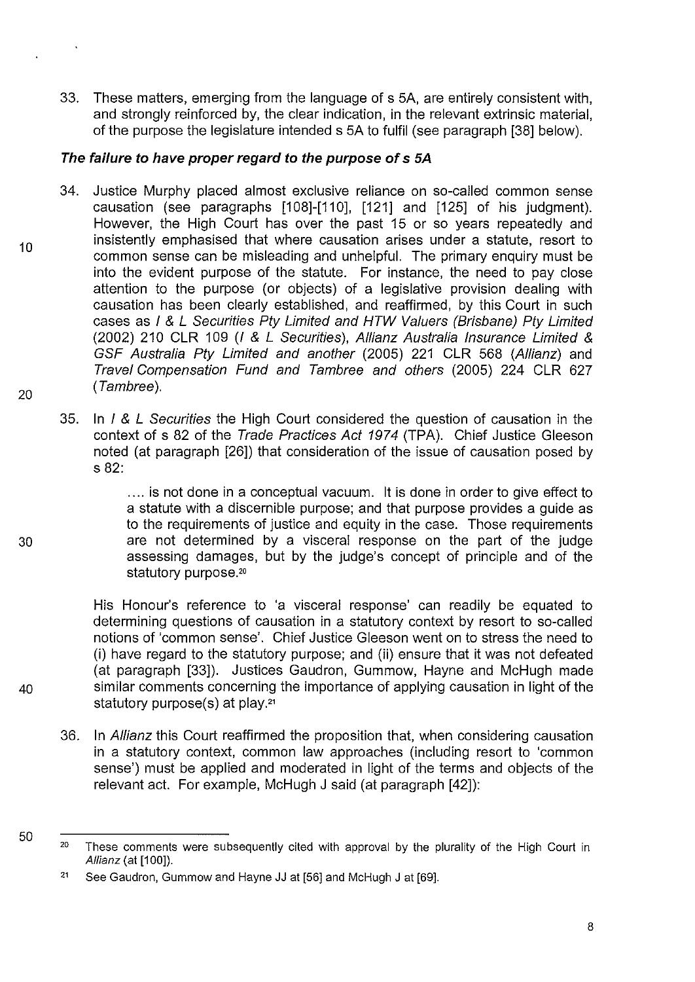33. These matters, emerging from the language of s SA, are entirely consistent with, and strongly reinforced by, the clear indication, in the relevant extrinsic material, of the purpose the legislature intended s SA to fulfil (see paragraph [38] below).

# **The failure to have proper regard to the purpose of s 5A**

- 34. Justice Murphy placed almost exclusive reliance on so-called common sense causation (see paragraphs [108]-[110], [121] and [12S] of his judgment). However, the High Court has over the past 1S or so years repeatedly and insistently emphasised that where causation arises under a statute, resort to common sense can be misleading and unhelpful. The primary enquiry must be into the evident purpose of the statute. For instance, the need to pay close attention to the purpose (or objects) of a legislative provision dealing with causation has been clearly established, and reaffirmed, by this Court in such cases as I & L Securities Pty Limited and HTW Valuers (Brisbane) Pty Limited (2002) 210 CLR 109 (I & L Securities), Allianz Australia Insurance Limited & GSF Australia Pty Limited and another (200S) 221 CLR S68 (AIIianz) and Travel Compensation Fund and Tambree and others (200S) 224 CLR 627 (Tambree).
- 35. In I & L Securities the High Court considered the question of causation in the context of s 82 of the Trade Practices Act 1974 (TPA). Chief Justice Gleeson noted (at paragraph [26]) that consideration of the issue of causation posed by s 82:

.... is not done in a conceptual vacuum. lt is done in order to give effect to a statute with a discernible purpose; and that purpose provides a guide as to the requirements of justice and equity in the case. Those requirements 30 are not determined by a visceral response on the part of the judge assessing damages, but by the judge's concept of principle and of the statutory purpose.<sup>20</sup>

His Honour's reference to 'a visceral response' can readily be equated to determining questions of causation in a statutory context by resort to so-called notions of 'common sense'. Chief Justice Gleeson went on to stress the need to (i) have regard to the statutory purpose; and (ii) ensure that it was not defeated (at paragraph [33]). Justices Gaudron, Gummow, Hayne and McHugh made 40 similar comments concerning the importance of applying causation in light of the statutory purpose(s) at play.<sup>21</sup>

- 36. In Allianz this Court reaffirmed the proposition that, when considering causation in a statutory context, common law approaches (including resort to 'common sense') must be applied and moderated in light of the terms and objects of the relevant act. For example, McHugh J said (at paragraph [42]):
- 50

8

10

<sup>20</sup>  These comments were subsequently cited with approval by the plurality of the High Court in Allianz (at [100]).

<sup>21</sup>  See Gaudron, Gummow and Hayne JJ at [56] and McHugh J at [69].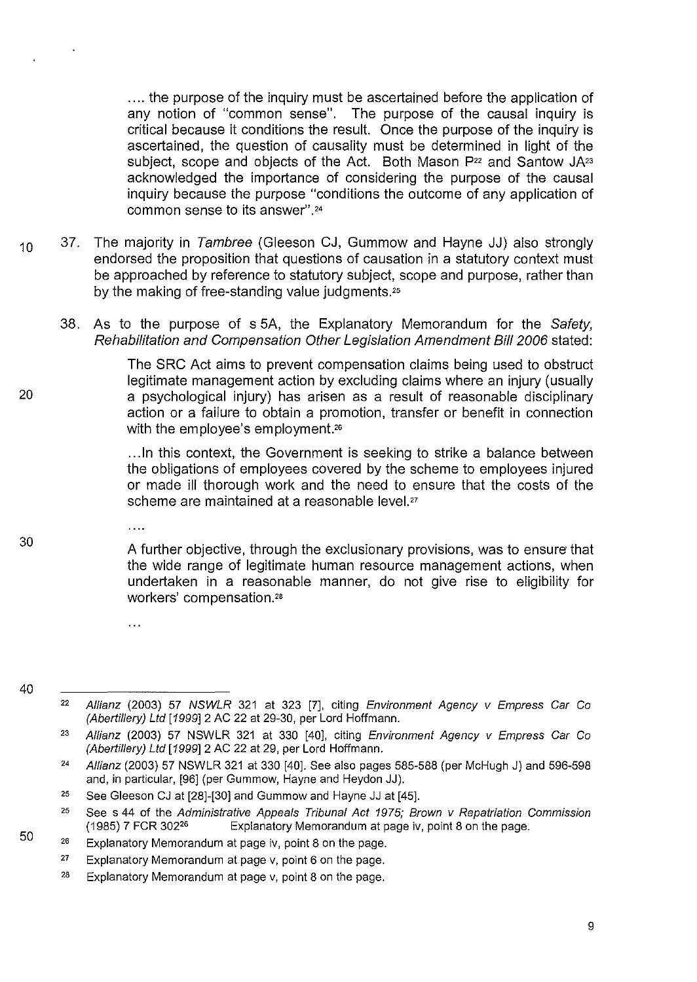.... the purpose of the inquiry must be ascertained before the application of any notion of "common sense". The purpose of the causal inquiry is critical because it conditions the result. Once the purpose of the inquiry is ascertained, the question of causality must be determined in light of the subject, scope and objects of the Act. Both Mason P<sup>22</sup> and Santow JA<sup>23</sup> acknowledged the importance of considering the purpose of the causal inquiry because the purpose "conditions the outcome of any application of common sense to its answer".<sup>24</sup>

- $10$  37. The majority in Tambree (Gleeson CJ, Gummow and Hayne JJ) also strongly endorsed the proposition that questions of causation in a statutory context must be approached by reference to statutory subject, scope and purpose, rather than by the making of free-standing value judgments.<sup>25</sup>
	- 38. As to the purpose of s 5A, the Explanatory Memorandum for the Safety, Rehabilitation and Compensation Other Legislation Amendment Bill 2006 stated:

The SRC Act aims to prevent compensation claims being used to obstruct legitimate management action by excluding claims where an injury (usually a psychological injury) has arisen as a result of reasonable disciplinary action or a failure to obtain a promotion, transfer or benefit in connection with the employee's employment.<sup>26</sup>

... In this context, the Government is seeking to strike a balance between the obligations of employees covered by the scheme to employees injured or made ill thorough work and the need to ensure that the costs of the scheme are maintained at a reasonable level.<sup>27</sup>

30

 $\mathbf{1}$ 

 $\ddotsc$ 

20

A further objective, through the exclusionary provisions, was to ensure that the wide range of legitimate human resource management actions, when undertaken in a reasonable manner, do not give rise to eligibility for workers' compensation.<sup>28</sup>

40

<sup>22</sup>  Allianz (2003) 57 NSWLR 321 at 323 [7], citing Environment Agency v Empress Car Co (Abertillery) Ltd [1999]2 AC 22 at 29-30, per Lord Hoffmann.

<sup>23</sup>  Allianz (2003) 57 NSWLR 321 at 330 [40], citing Environment Agency v Empress Car Co (Abertillery) Ltd [1999] 2 AC 22 at 29, per Lord Hoffmann.

<sup>24</sup>  Allianz (2003) 57 NSWLR 321 at 330 [40]. See also pages 585-588 (per McHugh J) and 596-598 and, in particular, [96] (per Gummow, Hayne and Heydon JJ).

<sup>25</sup>  See Gleeson CJ at [28]-[30] and Gummow and Hayne JJ at [45].

<sup>25</sup>  See s 44 of the Administrative Appeals Tribunal Act 1975; Brown v Repatriation Commission (1985) 7 FCR 30226 Explanatory Memorandum at page iv, point 8 on the page.

<sup>26</sup>  Explanatory Memorandum at page iv, point 8 on the page.

<sup>27</sup>  Explanatory Memorandum at page v, point 6 on the page.

<sup>28</sup>  Explanatory Memorandum at page v, point 8 on the page.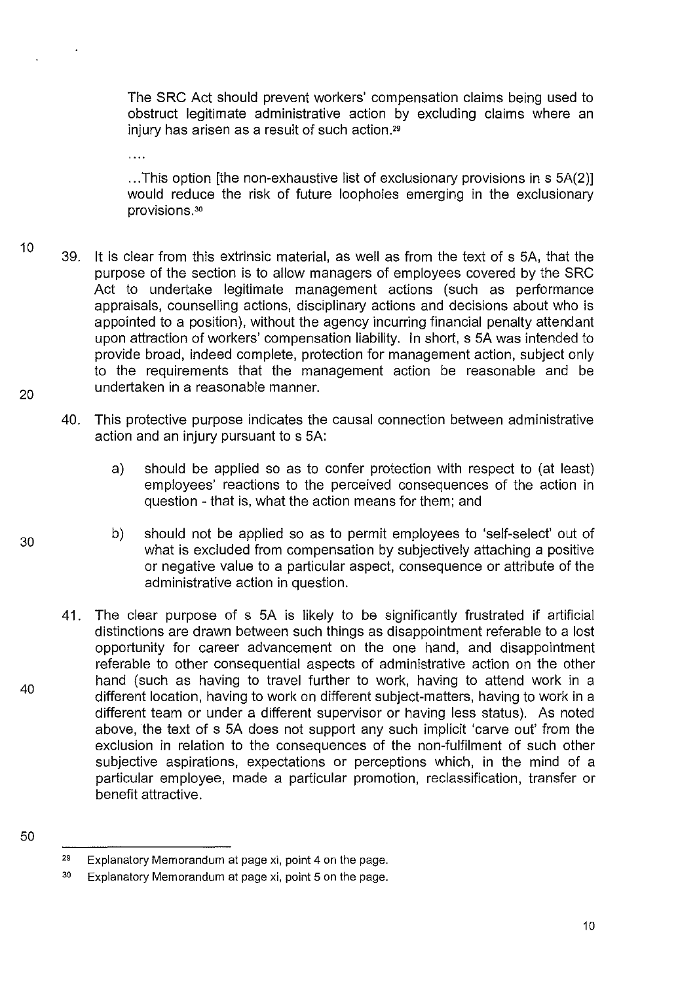The SRC Act should prevent workers' compensation claims being used to obstruct legitimate administrative action by excluding claims where an injury has arisen as a result of such action.<sup>29</sup>

... This option [the non-exhaustive list of exclusionary provisions in s SA(2)] would reduce the risk of future loopholes emerging in the exclusionary provisions. <sup>30</sup>

- 10 20 39. it is clear from this extrinsic material, as well as from the text of s SA, that the purpose of the section is to allow managers of employees covered by the SRC Act to undertake legitimate management actions (such as performance appraisals, counselling actions, disciplinary actions and decisions about who is appointed to a position), without the agency incurring financial penalty attendant upon attraction of workers' compensation liability. In short, s SA was intended to provide broad, indeed complete, protection for management action, subject only to the requirements that the management action be reasonable and be undertaken in a reasonable manner.
	- 40. This protective purpose indicates the causal connection between administrative action and an injury pursuant to s SA:
		- a) should be applied so as to confer protection with respect to (at least) employees' reactions to the perceived consequences of the action in question - that is, what the action means for them; and
		- b) should not be applied so as to permit employees to 'self-select' out of what is excluded from compensation by subjectively attaching a positive or negative value to a particular aspect, consequence or attribute of the administrative action in question.
		- 41. The clear purpose of s SA is likely to be significantly frustrated if artificial distinctions are drawn between such things as disappointment referable to a lost opportunity for career advancement on the one hand, and disappointment referable to other consequential aspects of administrative action on the other hand (such as having to travel further to work, having to attend work in a different location, having to work on different subject-matters, having to work in a different team or under a different supervisor or having less status). As noted above, the text of s SA does not support any such implicit 'carve out' from the exclusion in relation to the consequences of the non-fulfilment of such other subjective aspirations, expectations or perceptions which, in the mind of a particular employee, made a particular promotion, reclassification, transfer or benefit attractive.
- 50

40

30

 $29$  Explanatory Memorandum at page xi, point 4 on the page.

<sup>30</sup> Explanatory Memorandum at page xi, point 5 on the page.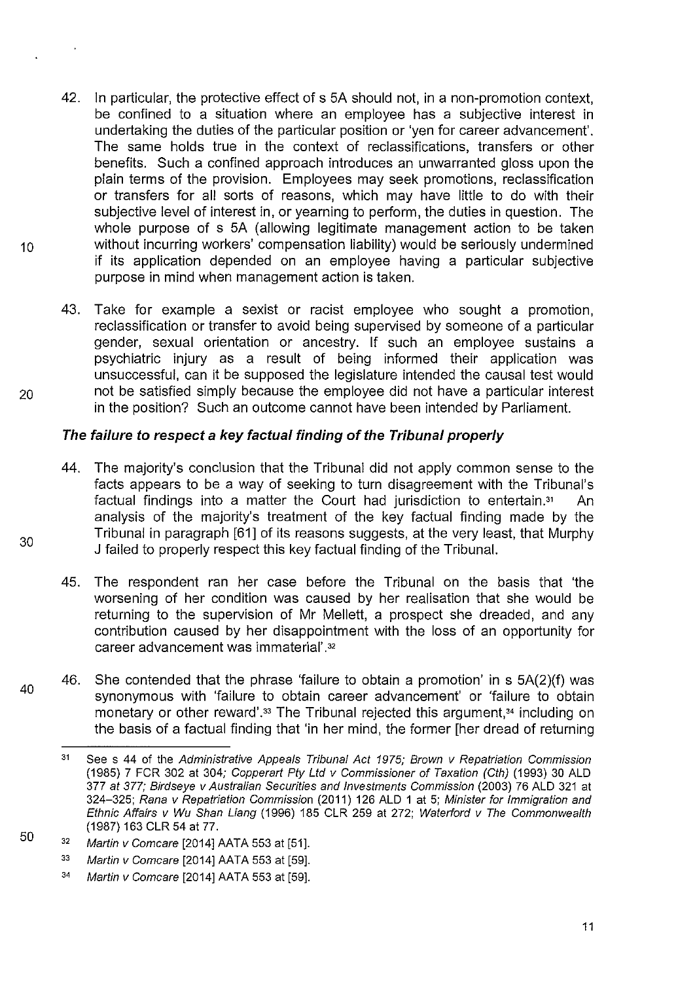- 42. In particular, the protective effect of s 5A should not, in a non-promotion context, be confined to a situation where an employee has a subjective interest in undertaking the duties of the particular position or 'yen for career advancement'. The same holds true in the context of reclassifications, transfers or other benefits. Such a confined approach introduces an unwarranted gloss upon the plain terms of the provision. Employees may seek promotions, reclassification or transfers for all sorts of reasons, which may have little to do with their subjective level of interest in, or yearning to perform, the duties in question. The whole purpose of s 5A (allowing legitimate management action to be taken 10 without incurring workers' compensation liability) would be seriously undermined if its application depended on an employee having a particular subjective purpose in mind when management action is taken.
- 43. Take for example a sexist or racist employee who sought a promotion, reclassification or transfer to avoid being supervised by someone of a particular gender, sexual orientation or ancestry. If such an employee sustains a psychiatric injury as a result of being informed their application was unsuccessful, can it be supposed the legislature intended the causal test would 20 not be satisfied simply because the employee did not have a particular interest in the position? Such an outcome cannot have been intended by Parliament.

# **The failure to respect a key factual finding of the Tribunal properly**

- 44. The majority's conclusion that the Tribunal did not apply common sense to the facts appears to be a way of seeking to turn disagreement with the Tribunal's factual findings into a matter the Court had jurisdiction to entertain." An analysis of the majority's treatment of the key factual finding made by the Tribunal in paragraph [61] of its reasons suggests, at the very least, that Murphy J failed to properly respect this key factual finding of the Tribunal.
- 45. The respondent ran her case before the Tribunal on the basis that 'the worsening of her condition was caused by her realisation that she would be returning to the supervision of Mr Mellett, a prospect she dreaded, and any contribution caused by her disappointment with the loss of an opportunity for career advancement was immaterial'.<sup>32</sup>
- 40 46. She contended that the phrase 'failure to obtain a promotion' in s 5A(2)(f) was synonymous with 'failure to obtain career advancement' or 'failure to obtain monetary or other reward'.<sup>33</sup> The Tribunal rejected this argument,<sup>34</sup> including on the basis of a factual finding that 'in her mind, the former [her dread of returning

30

 $\ddot{\phantom{a}}$ 

<sup>31</sup>  See s 44 of the Administrative Appeals Tribunal Act 1975; Brown v Repatriation Commission (1985) 7 FCR 302 at 304; Copperart Pty Ltd v Commissioner of Taxation (Cth) (1993) 30 ALD 377 at 377; Birdseye v Australian Securities and Investments Commission (2003) 76 ALD 321 at 324-325; Rana v Repatriation Commission (2011) 126 ALD 1 at 5; Minister for Immigration and Ethnic Affairs v Wu Shan Liang (1996) 185 CLR 259 at 272; Waterford v The Commonwealth (1987) 163 CLR 54 at 77.

<sup>32</sup>  Martin v Comcare [2014] AATA 553 at [51].

<sup>33</sup>  Martin v Comcare [2014] AATA 553 at [59].

<sup>34</sup>  Martin v Comcare [2014] AATA 553 at [59].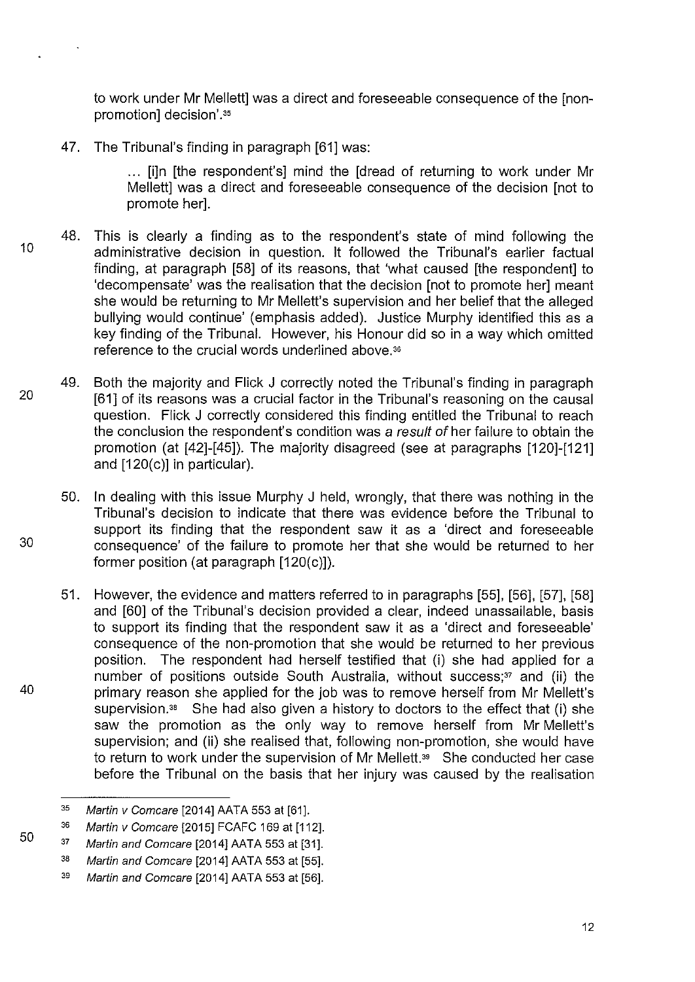to work under Mr Mellettl was a direct and foreseeable consequence of the [nonpromotion1 decision'.<sup>35</sup>

47. The Tribunal's finding in paragraph [61] was:

... [i]n [the respondent's] mind the [dread of returning to work under Mr Mellett] was a direct and foreseeable consequence of the decision [not to promote her].

- 10 48. This is clearly a finding as to the respondent's state of mind following the administrative decision in question. lt followed the Tribunal's earlier factual finding, at paragraph [58] of its reasons, that 'what caused [the respondent] to 'decompensate' was the realisation that the decision [not to promote her] meant she would be returning to Mr Mellett's supervision and her belief that the alleged bullying would continue' (emphasis added). Justice Murphy identified this as a key finding of the Tribunal. However, his Honour did so in a way which omitted reference to the crucial words underlined above.<sup>36</sup>
- 20 49. Both the majority and Flick J correctly noted the Tribunal's finding in paragraph [61] of its reasons was a crucial factor in the Tribunal's reasoning on the causal question. Flick J correctly considered this finding entitled the Tribunal to reach the conclusion the respondent's condition was a result of her failure to obtain the promotion (at [42]-[45]). The majority disagreed (see at paragraphs [120]-[121] and [120(c)] in particular).

50. In dealing with this issue Murphy J held, wrongly, that there was nothing in the Tribunal's decision to indicate that there was evidence before the Tribunal to support its finding that the respondent saw it as a 'direct and foreseeable consequence' of the failure to promote her that she would be returned to her former position (at paragraph [120(c)]).

51. However, the evidence and matters referred to in paragraphs [55]. [56], [57], [58] and [60] of the Tribunal's decision provided a clear, indeed unassailable, basis to support its finding that the respondent saw it as a 'direct and foreseeable' consequence of the non-promotion that she would be returned to her previous position. The respondent had herself testified that (i) she had applied for a number of positions outside South Australia, without success;<sup>37</sup> and (ii) the primary reason she applied for the job was to remove herself from Mr Mellett's supervision.<sup>38</sup> She had also given a history to doctors to the effect that (i) she saw the promotion as the only way to remove herself from Mr Mellett's supervision; and (ii) she realised that, following non-promotion, she would have to return to work under the supervision of Mr Mellett.<sup>39</sup> She conducted her case before the Tribunal on the basis that her injury was caused by the realisation

30

40

<sup>35</sup>  Martin v Comcare [2014] AATA 553 at [61].

<sup>36</sup>  Martin v Comcare [2015] FCAFC 169 at [112].

<sup>37</sup>  Martin and Comcare [2014] AATA 553 at [31].

<sup>38</sup>  Martin and Comcare [2014] AATA 553 at [55].

<sup>39</sup>  Martin and Comcare [2014] AATA 553 at [56].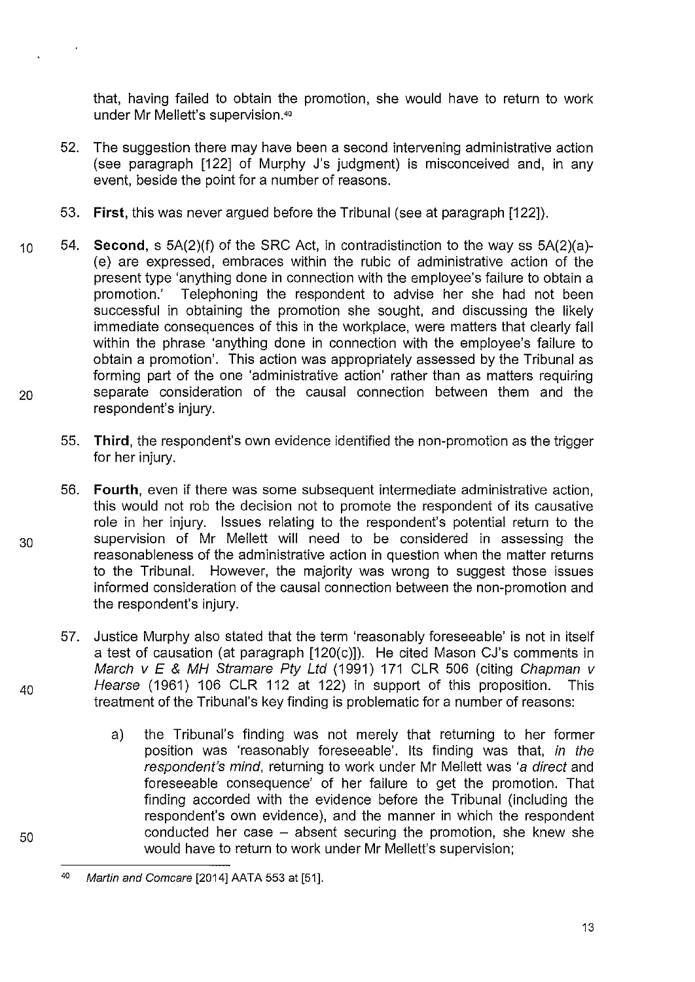that, having failed to obtain the promotion, she would have to return to work under Mr Mellett's supervision.<sup>40</sup>

- 52. The suggestion there may have been a second intervening administrative action (see paragraph [122] of Murphy J's judgment) is misconceived and, in any event, beside the point for a number of reasons.
- 53. **First,** this was never argued before the Tribunal (see at paragraph [122]).
- 10 54. **Second,** s 5A(2)(f) of the SRC Act, in contradistinction to the way ss 5A(2)(a)- (e) are expressed, embraces within the rubic of administrative action of the present type 'anything done in connection with the employee's failure to obtain a promotion.' Telephoning the respondent to advise her she had not been successful in obtaining the promotion she sought, and discussing the likely immediate consequences of this in the workplace, were matters that clearly fall within the phrase 'anything done in connection with the employee's failure to obtain a promotion'. This action was appropriately assessed by the Tribunal as forming part of the one 'administrative action' rather than as matters requiring 20 separate consideration of the causal connection between them and the respondent's injury.
	- 55. **Third,** the respondent's own evidence identified the non-promotion as the trigger for her injury.
- 56. **Fourth,** even if there was some subsequent intermediate administrative action, this would not rob the decision not to promote the respondent of its causative role in her injury. Issues relating to the respondent's potential return to the 30 supervision of Mr Mellett will need to be considered in assessing the reasonableness of the administrative action in question when the matter returns to the Tribunal. However, the majority was wrong to suggest those issues informed consideration of the causal connection between the non-promotion and the respondent's injury.
- 57. Justice Murphy also stated that the term 'reasonably foreseeable' is not in itself a test of causation (at paragraph [120(c)]). He cited Mason CJ's comments in March  $v \, \mathsf{E}$  & MH Stramare Pty Ltd (1991) 171 CLR 506 (citing Chapman v  $40$  Hearse (1961) 106 CLR 112 at 122) in support of this proposition. This treatment of the Tribunal's key finding is problematic for a number of reasons:
	- a) the Tribunal's finding was not merely that returning to her former position was 'reasonably foreseeable'. Its finding was that, in the respondent's mind, returning to work under Mr Mellett was 'a direct and foreseeable consequence' of her failure to get the promotion. That finding accorded with the evidence before the Tribunal (including the respondent's own evidence), and the manner in which the respondent conducted her case  $-$  absent securing the promotion, she knew she would have to return to work under Mr Mellett's supervision;

13

<sup>40</sup>  Martin and Comcare [2014] AATA 553 at [51].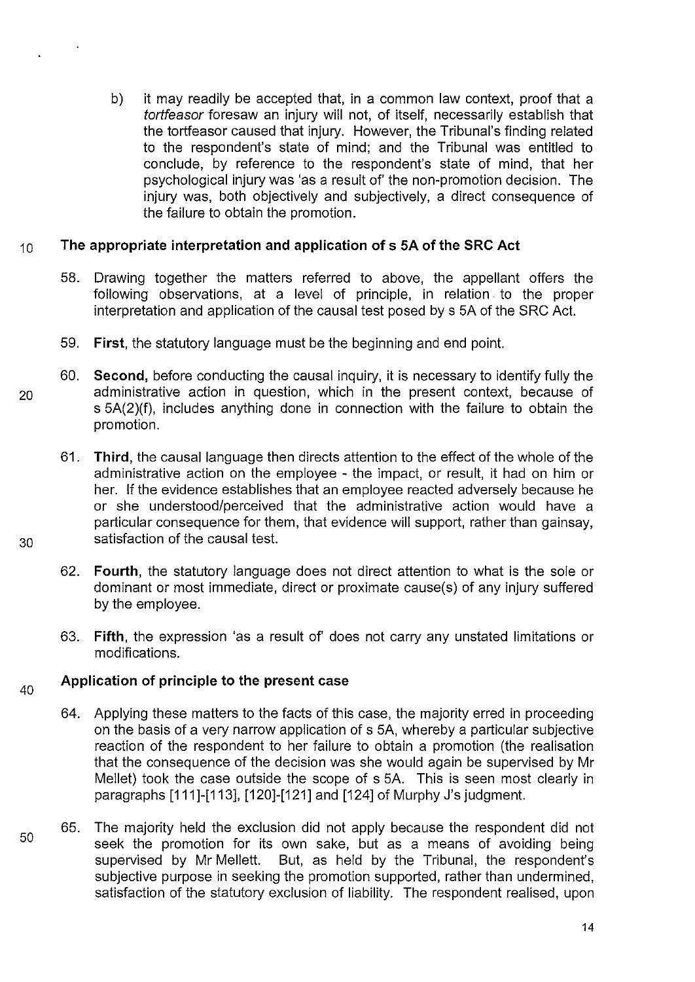b) it may readily be accepted that, in a common law context, proof that a tortfeasor foresaw an injury will not, of itself, necessarily establish that the tortfeasor caused that injury. However, the Tribunal's finding related to the respondent's state of mind; and the Tribunal was entitled to conclude, by reference to the respondent's state of mind, that her psychological injury was 'as a result of' the non-promotion decision. The injury was, both objectively and subjectively, a direct consequence of the failure to obtain the promotion.

# <sup>1</sup>o **The appropriate interpretation and application of s SA of the SRC Act**

- 58. Drawing together the matters referred to above, the appellant offers the following observations, at a level of principle, in relation. to the proper interpretation and application of the causal test posed by s SA of the SRC Act.
- 59. **First,** the statutory language must be the beginning and end point.
- 60. **Second,** before conducting the causal inquiry, it is necessary to identify fully the 20 administrative action in question, which in the present context, because of s 5A(2)(f), includes anything done in connection with the failure to obtain the promotion.
- 61. **Third,** the causal language then directs attention to the effect of the whole of the administrative action on the employee - the impact, or result, it had on him or her. If the evidence establishes that an employee reacted adversely because he or she understood/perceived that the administrative action would have a particular consequence for them, that evidence will support, rather than gainsay, 30 satisfaction of the causal test.
	- 62. **Fourth,** the statutory language does not direct attention to what is the sole or dominant or most immediate, direct or proximate cause(s) of any injury suffered by the employee.
	- 63. **Fifth,** the expression 'as a result of' does not carry any unstated limitations or modifications.

#### 40 **Application of principle to the present case**

- 64. Applying these matters to the facts of this case, the majority erred in proceeding on the basis of a very narrow application of s SA, whereby a particular subjective reaction of the respondent to her failure to obtain a promotion (the realisation that the consequence of the decision was she would again be supervised by Mr Mellet) took the case outside the scope of s SA. This is seen most clearly in paragraphs [111]-[113], [120]-[121] and [124] of Murphy J's judgment.
- 50 65. The majority held the exclusion did not apply because the respondent did not seek the promotion for its own sake, but as a means of avoiding being supervised by Mr Mellett. But, as held by the Tribunal, the respondent's subjective purpose in seeking the promotion supported, rather than undermined, satisfaction of the statutory exclusion of liability. The respondent realised, upon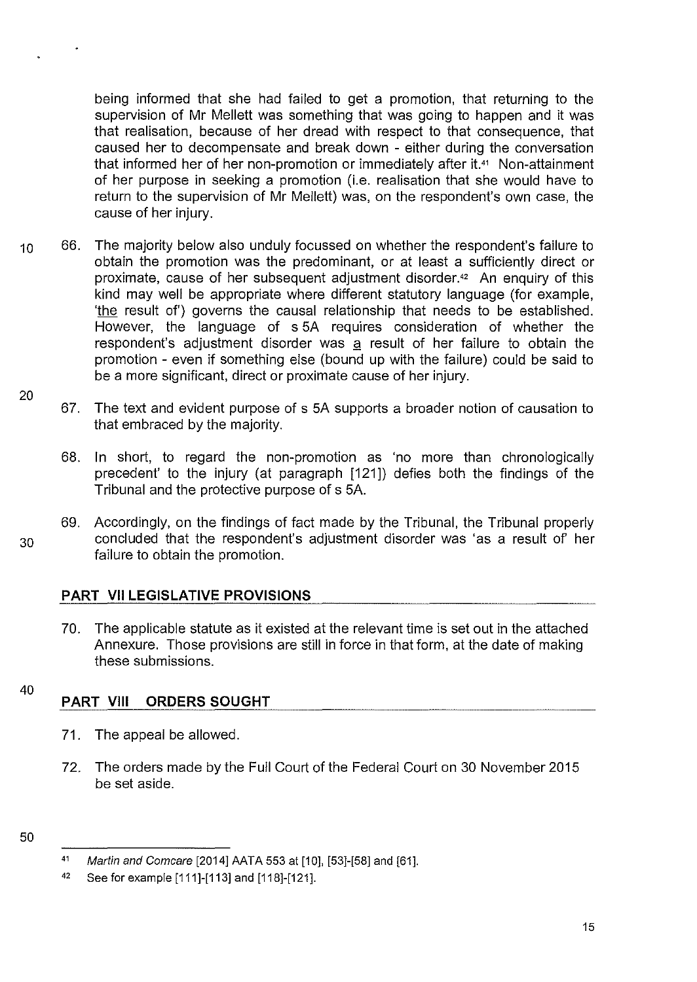being informed that she had failed to get a promotion, that returning to the supervision of Mr Mellett was something that was going to happen and it was that realisation, because of her dread with respect to that consequence, that caused her to decompensate and break down - either during the conversation that informed her of her non-promotion or immediately after it.41 Non-attainment of her purpose in seeking a promotion (i.e. realisation that she would have to return to the supervision of Mr Mellett) was, on the respondent's own case, the cause of her injury.

- 10 66. The majority below also unduly focussed on whether the respondent's failure to obtain the promotion was the predominant, or at least a sufficiently direct or proximate, cause of her subsequent adjustment disorder.<sup>42</sup> An enquiry of this kind may well be appropriate where different statutory language (for example, 'the result of') governs the causal relationship that needs to be established. However, the language of s SA requires consideration of whether the respondent's adjustment disorder was a result of her failure to obtain the promotion - even if something else (bound up with the failure) could be said to be a more significant, direct or proximate cause of her injury.
	- 67. The text and evident purpose of s SA supports a broader notion of causation to that embraced by the majority.
		- 68. In short, to regard the non-promotion as 'no more than chronologically precedent' to the injury (at paragraph [121]) defies both the findings of the Tribunal and the protective purpose of s SA.
- 69. Accordingly, on the findings of fact made by the Tribunal, the Tribunal properly 30 concluded that the respondent's adjustment disorder was 'as a result of her failure to obtain the promotion.

# **PART VII LEGISLATIVE PROVISIONS**

- 70. The applicable statute as it existed at the relevant time is set out in the attached Annexure. Those provisions are still in force in that form, at the date of making these submissions.
- 40

20

# **PART VIII ORDERS SOUGHT**

- 71. The appeal be allowed.
- 72. The orders made by the Full Court of the Federal Court on 30 November 201S be set aside.

<sup>41</sup>  Martin and Comcare [2014] AATA 553 at [10], [53]-[58] and [61].

<sup>42</sup>  See for example [111]-[113] and [118]-[121].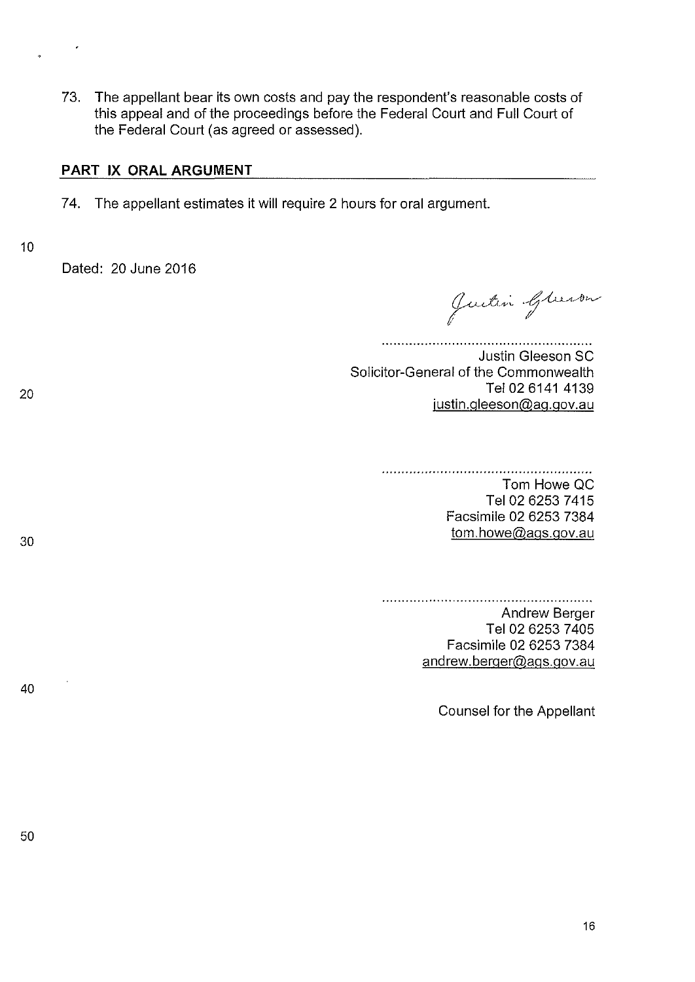73. The appellant bear its own costs and pay the respondent's reasonable costs of this appeal and of the proceedings before the Federal Court and Full Court of the Federal Court (as agreed or assessed).

#### **PART IX ORAL ARGUMENT**

- 7 4. The appellant estimates it will require 2 hours for oral argument.
- 10

20

Dated: 20 June 2016

Justin Gleenon

Justin Gleeson SC Solicitor-General of the Commonwealth Tel 02 6141 4139 justin.gleeson@ag.gov.au

#### Tom Howe QC Tel 02 6253 7415 Facsimile 02 6253 7384

30

Andrew Berger Tel 02 6253 7405 Facsimile 02 6253 7384 andrew.berger@ags.gov.au

tom.howe@ags.gov.au

40

Counsel for the Appellant